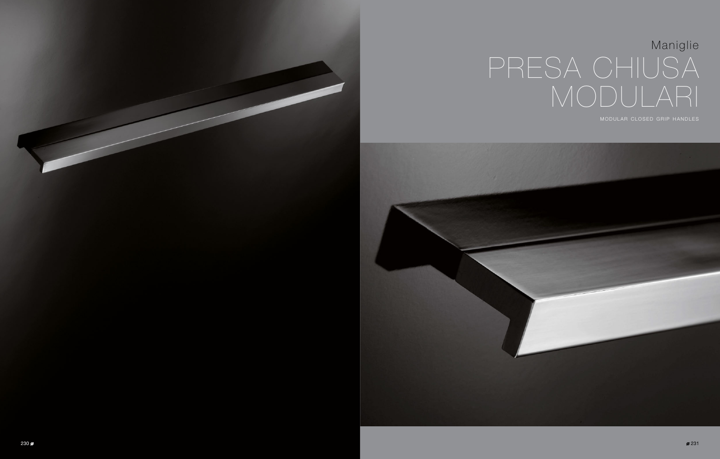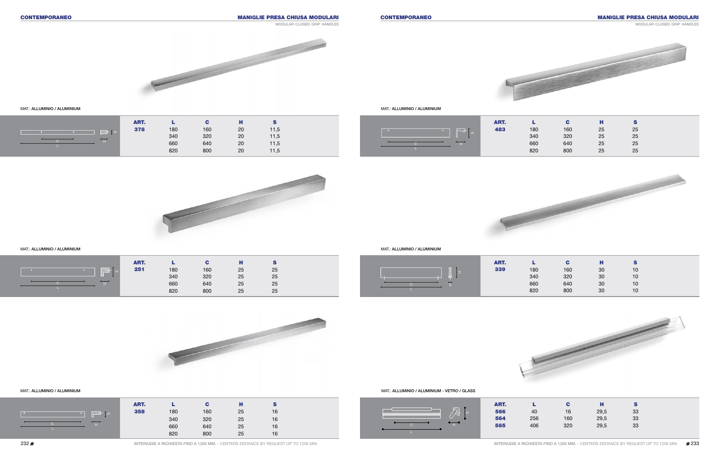MAT.: ALLUMINIO / ALUMINIUM

### MAT.: ALLUMINIO / ALUMINIUM

# CONTEMPORANEO CONTEMPORANEO MANIGLIE PRESA CHIUSA MODULARI

### MAT.: ALLUMINIO / ALUMINIUM

MAT.: ALLUMINIO / ALUMINIUM

 $+$   $-$ 

C H



MANIGLIE PRESA CHIUSA MODULARI



modular closed grip handles

ART. L C H S **378** 180 160 20 11,5









| ART. |     | С   | н  | S  |
|------|-----|-----|----|----|
| 483  | 180 | 160 | 25 | 25 |
|      | 340 | 320 | 25 | 25 |
|      | 660 | 640 | 25 | 25 |
|      | 820 | 800 | 25 | 25 |



|       | ART. |            |     | ш  |    |  |
|-------|------|------------|-----|----|----|--|
| VII.A | 251  |            | 160 | 25 | 25 |  |
|       |      | 180<br>340 | 320 | 25 | 25 |  |
|       |      | 660        | 640 | 25 | 25 |  |
|       |      | 820        | 800 | 25 | 25 |  |

340 320 20 11,5 660 640 20 11,5 820 800 20 11,5





MAT.: ALLUMINIO / ALUMINIUM - VETRO / GLASS

|                                                | ART. |     |     | н    | s  |
|------------------------------------------------|------|-----|-----|------|----|
| $\mathbb{\overline{X}}^{\mathbb{I}}$<br>$\sim$ | 566  | 40  | 16  | 29,5 | 33 |
|                                                | 564  | 256 | 160 | 29,5 | 33 |
| $H^+$                                          | 565  | 406 | 320 | 29,5 | 33 |
|                                                |      |     |     |      |    |

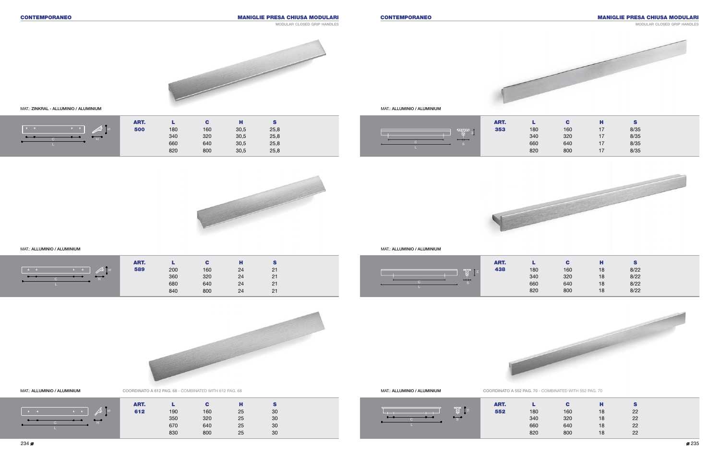MAT.: ZINKRAL - ALLUMINIO / ALUMINIUM



MAT.: ALLUMINIO / ALUMINIUM



|     | С   |    | S  |
|-----|-----|----|----|
| 180 | 160 | 18 | 22 |
| 340 | 320 | 18 | 22 |
| 660 | 640 | 18 | 22 |
| 820 | 800 | 18 | 22 |
|     |     |    | н  |

350 320 25 30 670 640 25 30 830 800 25 30

# CONTEMPORANEO CONTEMPORANEO MANIGLIE PRESA CHIUSA MODULARI

MAT.: ALLUMINIO / ALUMINIUM

MAT.: ALLUMINIO / ALUMINIUM

## $\frac{\cancel{0}}{\cancel{0}}$  235



MAT.: ALLUMINIO / ALUMINIUM COORDINATO A 612 PAG. 68 - COMBINATED WITH 612 PAG. 68









COORDINATO A 552 PAG. 70 - COMBINATED WITH 552 PAG. 70

| ART. |     | С   | н  | S    |
|------|-----|-----|----|------|
| 353  | 180 | 160 | 17 | 8/35 |
|      | 340 | 320 | 17 | 8/35 |
|      | 660 | 640 | 17 | 8/35 |
|      | 820 | 800 | 17 | 8/35 |



S

 $\mathbb{Z}$ 



H



C